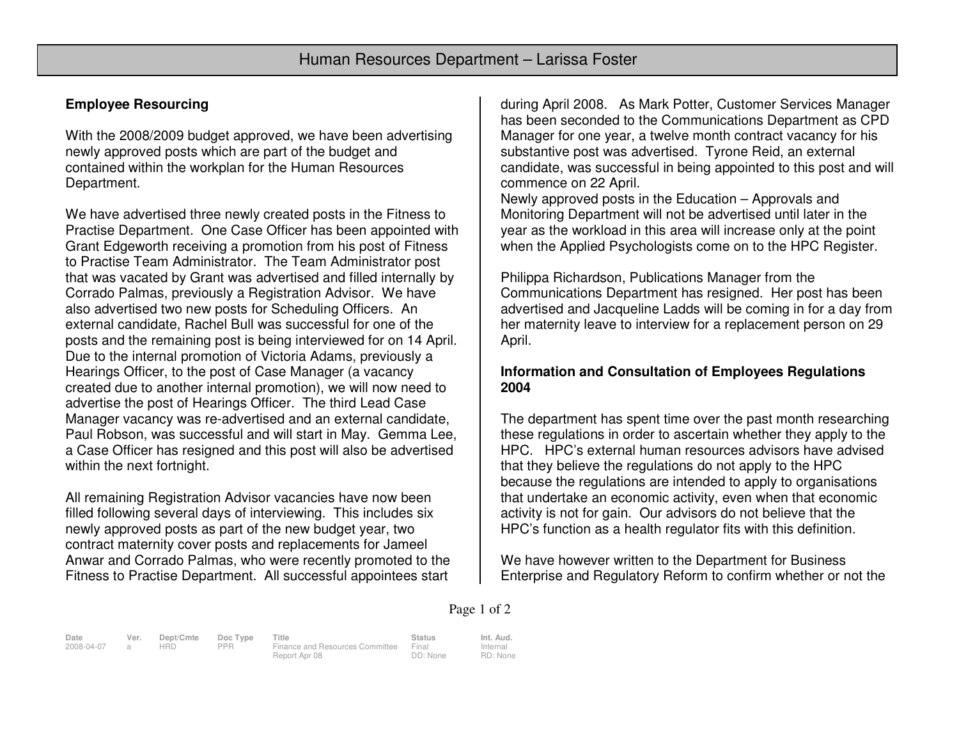# **Employee Resourcing**

With the 2008/2009 budget approved, we have been advertising newly approved posts which are part of the budget and contained within the workplan for the Human Resources Department.

We have advertised three newly created posts in the Fitness to Practise Department. One Case Officer has been appointed with Grant Edgeworth receiving a promotion from his post of Fitness to Practise Team Administrator. The Team Administrator post that was vacated by Grant was advertised and filled internally by Corrado Palmas, previously a Registration Advisor. We have also advertised two new posts for Scheduling Officers. An external candidate, Rachel Bull was successful for one of the posts and the remaining post is being interviewed for on 14 April. Due to the internal promotion of Victoria Adams, previously a Hearings Officer, to the post of Case Manager (a vacancy created due to another internal promotion), we will now need to advertise the post of Hearings Officer. The third Lead Case Manager vacancy was re-advertised and an external candidate, Paul Robson, was successful and will start in May. Gemma Lee, a Case Officer has resigned and this post will also be advertised within the next fortnight.

All remaining Registration Advisor vacancies have now been filled following several days of interviewing. This includes six newly approved posts as part of the new budget year, two contract maternity cover posts and replacements for Jameel Anwar and Corrado Palmas, who were recently promoted to the Fitness to Practise Department. All successful appointees start

during April 2008. As Mark Potter, Customer Services Manager has been seconded to the Communications Department as CPD Manager for one year, a twelve month contract vacancy for his substantive post was advertised. Tyrone Reid, an external candidate, was successful in being appointed to this post and will commence on 22 April.

 Newly approved posts in the Education – Approvals and Monitoring Department will not be advertised until later in the year as the workload in this area will increase only at the point when the Applied Psychologists come on to the HPC Register.

Philippa Richardson, Publications Manager from the Communications Department has resigned. Her post has been advertised and Jacqueline Ladds will be coming in for a day from her maternity leave to interview for a replacement person on 29 April.

## **Information and Consultation of Employees Regulations 2004**

The department has spent time over the past month researching these regulations in order to ascertain whether they apply to the HPC. HPC's external human resources advisors have advised that they believe the regulations do not apply to the HPC because the regulations are intended to apply to organisations that undertake an economic activity, even when that economic activity is not for gain. Our advisors do not believe that the HPC's function as a health regulator fits with this definition.

We have however written to the Department for Business Enterprise and Regulatory Reform to confirm whether or not the

#### Page 1 of 2

**Date Ver. Dept/Cmte Doc Type Title Status Int. Aud.**2008-04-07 a HRD PPR Finance and Resources Committee Report Apr 08

Final DD: None

Internal RD: None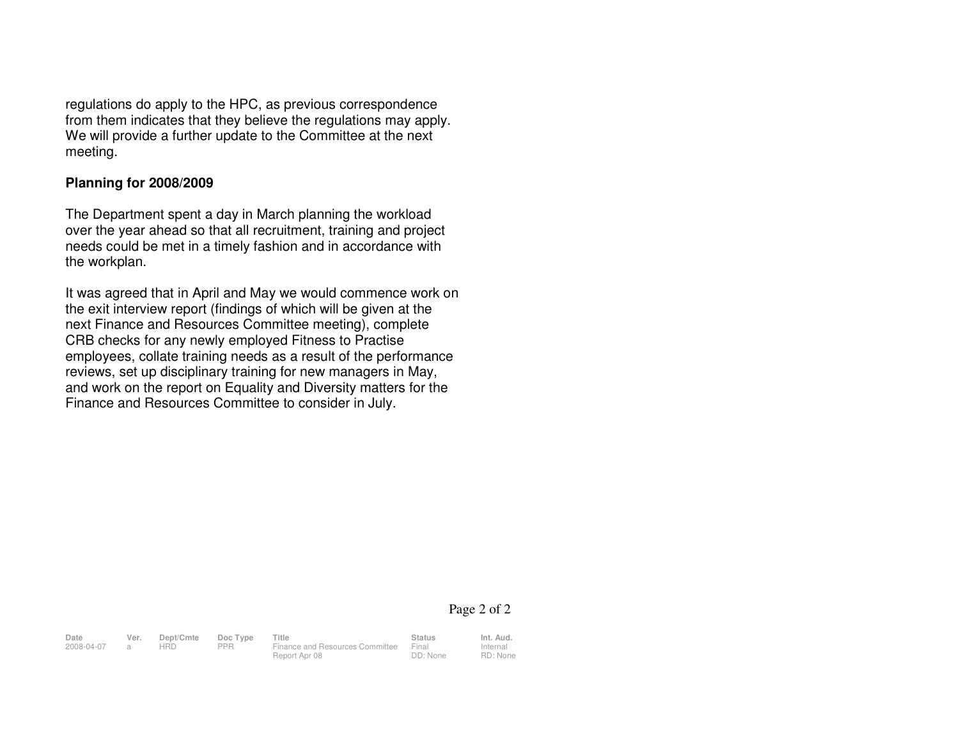regulations do apply to the HPC, as previous correspondence from them indicates that they believe the regulations may apply. We will provide a further update to the Committee at the next meeting.

### **Planning for 2008/2009**

The Department spent a day in March planning the workload over the year ahead so that all recruitment, training and project needs could be met in a timely fashion and in accordance with the workplan.

It was agreed that in April and May we would commence work on the exit interview report (findings of which will be given at the next Finance and Resources Committee meeting), complete CRB checks for any newly employed Fitness to Practise employees, collate training needs as a result of the performance reviews, set up disciplinary training for new managers in May, and work on the report on Equality and Diversity matters for the Finance and Resources Committee to consider in July.

#### Page 2 of 2

Internal

RD: None

**Date Ver. Dept/Cmte Doc Type Title Status Status Int. Aud.**<br>2008-04-07 a HRD PPR Finance and Resources Committee Final Internal 2008-04-07 a HRD PPR Finance and Resources Committee Final

Report Apr 08

DD: None